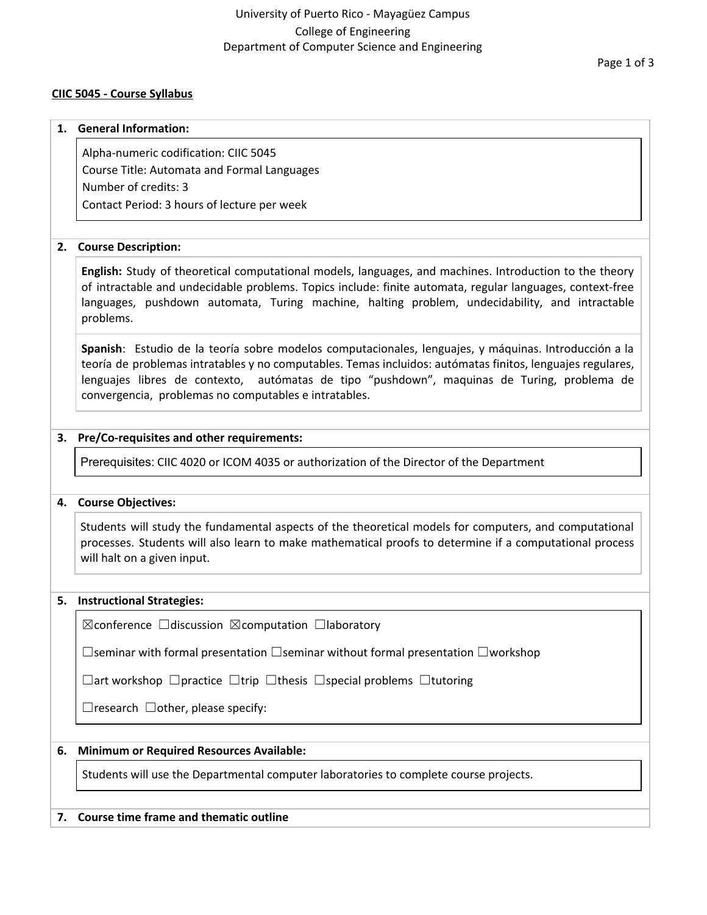# **CIIC 5045 - Course Syllabus**

#### **1. General Information:**

Alpha-numeric codification: CIIC 5045 Course Title: Automata and Formal Languages Number of credits: 3 Contact Period: 3 hours of lecture per week

#### **2. Course Description:**

**English:** Study of theoretical computational models, languages, and machines. Introduction to the theory of intractable and undecidable problems. Topics include: finite automata, regular languages, context-free languages, pushdown automata, Turing machine, halting problem, undecidability, and intractable problems.

**Spanish**: Estudio de la teoría sobre modelos computacionales, lenguajes, y máquinas. Introducción a la teoría de problemas intratables y no computables. Temas incluidos: autómatas finitos, lenguajes regulares, lenguajes libres de contexto, autómatas de tipo "pushdown", maquinas de Turing, problema de convergencia, problemas no computables e intratables.

### **3. Pre/Co-requisites and other requirements:**

Prerequisites: CIIC 4020 or ICOM 4035 or authorization of the Director of the Department

### **4. Course Objectives:**

Students will study the fundamental aspects of the theoretical models for computers, and computational processes. Students will also learn to make mathematical proofs to determine if a computational process will halt on a given input.

#### **5. Instructional Strategies:**

☒conference ☐discussion ☒computation ☐laboratory

☐seminar with formal presentation ☐seminar without formal presentation ☐workshop

☐art workshop ☐practice ☐trip ☐thesis ☐special problems ☐tutoring

 $\Box$ research  $\Box$ other, please specify:

### **6. Minimum or Required Resources Available:**

Students will use the Departmental computer laboratories to complete course projects.

### **7. Course time frame and thematic outline**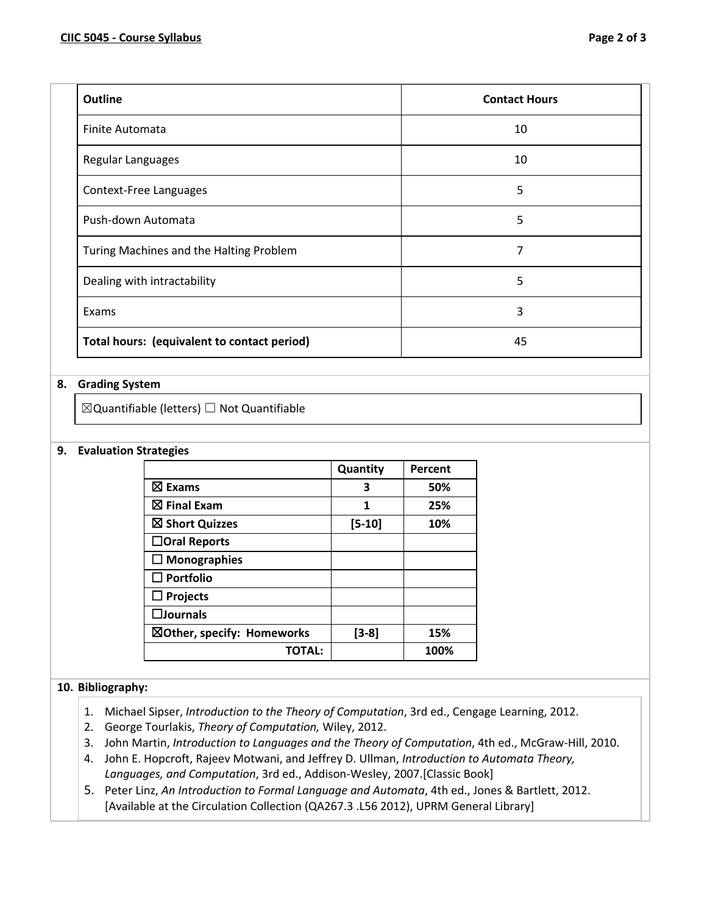| <b>Outline</b>                              | <b>Contact Hours</b> |
|---------------------------------------------|----------------------|
| Finite Automata                             | 10                   |
| Regular Languages                           | 10                   |
| Context-Free Languages                      | 5                    |
| Push-down Automata                          | 5                    |
| Turing Machines and the Halting Problem     | 7                    |
| Dealing with intractability                 | 5                    |
| Exams                                       | 3                    |
| Total hours: (equivalent to contact period) | 45                   |

# **8. Grading System**

☒Quantifiable (letters) ☐ Not Quantifiable

### **9. Evaluation Strategies**

|                            | Quantity | Percent |
|----------------------------|----------|---------|
| $\boxtimes$ Exams          | 3        | 50%     |
| $\boxtimes$ Final Exam     | 1        | 25%     |
| ⊠ Short Quizzes            | $[5-10]$ | 10%     |
| $\Box$ Oral Reports        |          |         |
| $\Box$ Monographies        |          |         |
| $\Box$ Portfolio           |          |         |
| $\Box$ Projects            |          |         |
| $\square$ Journals         |          |         |
| ⊠Other, specify: Homeworks | $[3-8]$  | 15%     |
| <b>TOTAL:</b>              |          | 100%    |

# **10. Bibliography:**

- 1. Michael Sipser, *Introduction to the Theory of Computation*, 3rd ed., Cengage Learning, 2012.
- 2. George Tourlakis, *Theory of Computation,* Wiley, 2012.
- 3. John Martin, *Introduction to Languages and the Theory of Computation*, 4th ed., McGraw-Hill, 2010.
- 4. John E. Hopcroft, Rajeev Motwani, and Jeffrey D. Ullman, *Introduction to Automata Theory, Languages, and Computation*, 3rd ed., Addison-Wesley, 2007.[Classic Book]
- 5. Peter Linz, *An Introduction to Formal Language and Automata*, 4th ed., Jones & Bartlett, 2012. [Available at the Circulation Collection (QA267.3 .L56 2012), UPRM General Library]